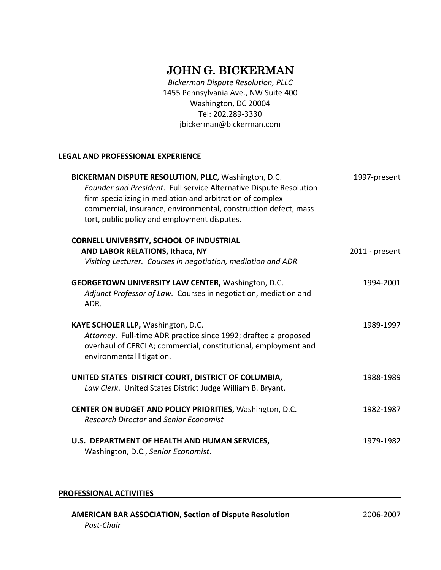# JOHN G. BICKERMAN

*Bickerman Dispute Resolution, PLLC* 1455 Pennsylvania Ave., NW Suite 400 Washington, DC 20004 Tel: 202.289-3330 jbickerman@bickerman.com

# **LEGAL AND PROFESSIONAL EXPERIENCE**

| BICKERMAN DISPUTE RESOLUTION, PLLC, Washington, D.C.<br>Founder and President. Full service Alternative Dispute Resolution<br>firm specializing in mediation and arbitration of complex<br>commercial, insurance, environmental, construction defect, mass<br>tort, public policy and employment disputes. | 1997-present   |
|------------------------------------------------------------------------------------------------------------------------------------------------------------------------------------------------------------------------------------------------------------------------------------------------------------|----------------|
| <b>CORNELL UNIVERSITY, SCHOOL OF INDUSTRIAL</b><br>AND LABOR RELATIONS, Ithaca, NY<br>Visiting Lecturer. Courses in negotiation, mediation and ADR                                                                                                                                                         | 2011 - present |
| <b>GEORGETOWN UNIVERSITY LAW CENTER, Washington, D.C.</b><br>Adjunct Professor of Law. Courses in negotiation, mediation and                                                                                                                                                                               | 1994-2001      |
| ADR.<br>KAYE SCHOLER LLP, Washington, D.C.                                                                                                                                                                                                                                                                 | 1989-1997      |
| Attorney. Full-time ADR practice since 1992; drafted a proposed<br>overhaul of CERCLA; commercial, constitutional, employment and<br>environmental litigation.                                                                                                                                             |                |
| UNITED STATES DISTRICT COURT, DISTRICT OF COLUMBIA,<br>Law Clerk. United States District Judge William B. Bryant.                                                                                                                                                                                          | 1988-1989      |
| CENTER ON BUDGET AND POLICY PRIORITIES, Washington, D.C.<br><b>Research Director and Senior Economist</b>                                                                                                                                                                                                  | 1982-1987      |
| U.S. DEPARTMENT OF HEALTH AND HUMAN SERVICES,<br>Washington, D.C., Senior Economist.                                                                                                                                                                                                                       | 1979-1982      |

# **PROFESSIONAL ACTIVITIES**

| <b>AMERICAN BAR ASSOCIATION, Section of Dispute Resolution</b> | 2006-2007 |
|----------------------------------------------------------------|-----------|
| Past-Chair                                                     |           |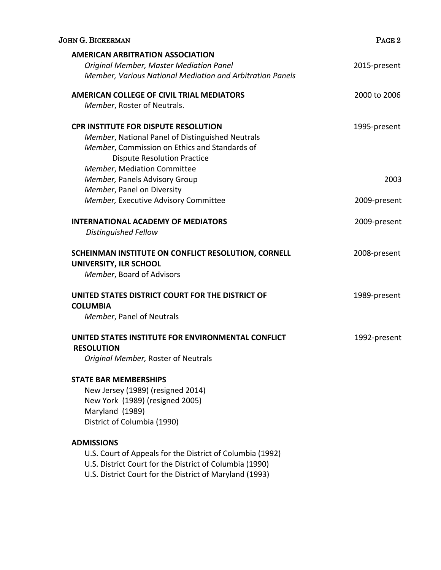| <b>JOHN G. BICKERMAN</b>                                                                                                                                                                                              | PAGE <sub>2</sub> |
|-----------------------------------------------------------------------------------------------------------------------------------------------------------------------------------------------------------------------|-------------------|
| <b>AMERICAN ARBITRATION ASSOCIATION</b><br>Original Member, Master Mediation Panel                                                                                                                                    | 2015-present      |
| Member, Various National Mediation and Arbitration Panels                                                                                                                                                             |                   |
| <b>AMERICAN COLLEGE OF CIVIL TRIAL MEDIATORS</b><br>Member, Roster of Neutrals.                                                                                                                                       | 2000 to 2006      |
| <b>CPR INSTITUTE FOR DISPUTE RESOLUTION</b><br>Member, National Panel of Distinguished Neutrals<br>Member, Commission on Ethics and Standards of<br><b>Dispute Resolution Practice</b><br>Member, Mediation Committee | 1995-present      |
| Member, Panels Advisory Group                                                                                                                                                                                         | 2003              |
| Member, Panel on Diversity                                                                                                                                                                                            |                   |
| Member, Executive Advisory Committee                                                                                                                                                                                  | 2009-present      |
| <b>INTERNATIONAL ACADEMY OF MEDIATORS</b><br>Distinguished Fellow                                                                                                                                                     | 2009-present      |
| SCHEINMAN INSTITUTE ON CONFLICT RESOLUTION, CORNELL<br>UNIVERSITY, ILR SCHOOL<br>Member, Board of Advisors                                                                                                            | 2008-present      |
| UNITED STATES DISTRICT COURT FOR THE DISTRICT OF<br><b>COLUMBIA</b><br>Member, Panel of Neutrals                                                                                                                      | 1989-present      |
| UNITED STATES INSTITUTE FOR ENVIRONMENTAL CONFLICT<br><b>RESOLUTION</b><br>Original Member, Roster of Neutrals                                                                                                        | 1992-present      |
| <b>STATE BAR MEMBERSHIPS</b><br>New Jersey (1989) (resigned 2014)<br>New York (1989) (resigned 2005)<br>Maryland (1989)<br>District of Columbia (1990)                                                                |                   |
| <b>ADMISSIONS</b><br>U.S. Court of Appeals for the District of Columbia (1992)<br>U.S. District Court for the District of Columbia (1990)<br>U.S. District Court for the District of Maryland (1993)                  |                   |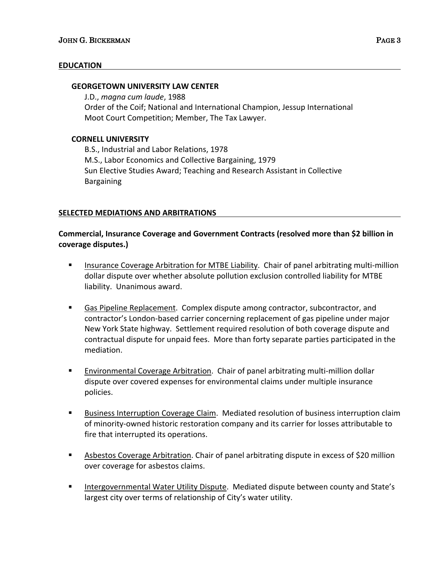# **EDUCATION**

#### **GEORGETOWN UNIVERSITY LAW CENTER**

J.D., *magna cum laude*, 1988 Order of the Coif; National and International Champion, Jessup International Moot Court Competition; Member, The Tax Lawyer.

#### **CORNELL UNIVERSITY**

B.S., Industrial and Labor Relations, 1978 M.S., Labor Economics and Collective Bargaining, 1979 Sun Elective Studies Award; Teaching and Research Assistant in Collective Bargaining

#### **SELECTED MEDIATIONS AND ARBITRATIONS**

# **Commercial, Insurance Coverage and Government Contracts (resolved more than \$2 billion in coverage disputes.)**

- Insurance Coverage Arbitration for MTBE Liability. Chair of panel arbitrating multi-million dollar dispute over whether absolute pollution exclusion controlled liability for MTBE liability. Unanimous award.
- § Gas Pipeline Replacement. Complex dispute among contractor, subcontractor, and contractor's London-based carrier concerning replacement of gas pipeline under major New York State highway. Settlement required resolution of both coverage dispute and contractual dispute for unpaid fees. More than forty separate parties participated in the mediation.
- § Environmental Coverage Arbitration. Chair of panel arbitrating multi-million dollar dispute over covered expenses for environmental claims under multiple insurance policies.
- § Business Interruption Coverage Claim. Mediated resolution of business interruption claim of minority-owned historic restoration company and its carrier for losses attributable to fire that interrupted its operations.
- Asbestos Coverage Arbitration. Chair of panel arbitrating dispute in excess of \$20 million over coverage for asbestos claims.
- § Intergovernmental Water Utility Dispute. Mediated dispute between county and State's largest city over terms of relationship of City's water utility.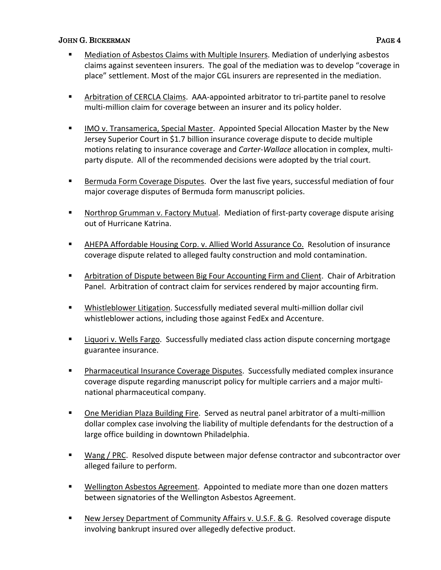- § Mediation of Asbestos Claims with Multiple Insurers. Mediation of underlying asbestos claims against seventeen insurers. The goal of the mediation was to develop "coverage in place" settlement. Most of the major CGL insurers are represented in the mediation.
- **EXTED Arbitration of CERCLA Claims. AAA-appointed arbitrator to tri-partite panel to resolve** multi-million claim for coverage between an insurer and its policy holder.
- IMO v. Transamerica, Special Master. Appointed Special Allocation Master by the New Jersey Superior Court in \$1.7 billion insurance coverage dispute to decide multiple motions relating to insurance coverage and *Carter-Wallace* allocation in complex, multiparty dispute. All of the recommended decisions were adopted by the trial court.
- Bermuda Form Coverage Disputes. Over the last five years, successful mediation of four major coverage disputes of Bermuda form manuscript policies.
- Northrop Grumman v. Factory Mutual. Mediation of first-party coverage dispute arising out of Hurricane Katrina.
- AHEPA Affordable Housing Corp. v. Allied World Assurance Co. Resolution of insurance coverage dispute related to alleged faulty construction and mold contamination.
- § Arbitration of Dispute between Big Four Accounting Firm and Client. Chair of Arbitration Panel. Arbitration of contract claim for services rendered by major accounting firm.
- Whistleblower Litigation. Successfully mediated several multi-million dollar civil whistleblower actions, including those against FedEx and Accenture.
- Liquori v. Wells Fargo. Successfully mediated class action dispute concerning mortgage guarantee insurance.
- § Pharmaceutical Insurance Coverage Disputes. Successfully mediated complex insurance coverage dispute regarding manuscript policy for multiple carriers and a major multinational pharmaceutical company.
- One Meridian Plaza Building Fire. Served as neutral panel arbitrator of a multi-million dollar complex case involving the liability of multiple defendants for the destruction of a large office building in downtown Philadelphia.
- Wang / PRC. Resolved dispute between major defense contractor and subcontractor over alleged failure to perform.
- Wellington Asbestos Agreement. Appointed to mediate more than one dozen matters between signatories of the Wellington Asbestos Agreement.
- New Jersey Department of Community Affairs v. U.S.F. & G. Resolved coverage dispute involving bankrupt insured over allegedly defective product.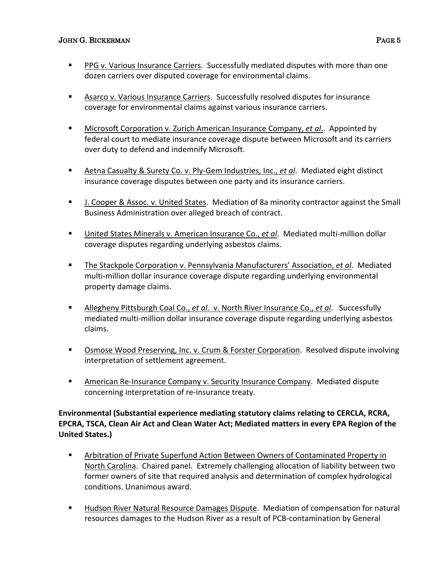- § PPG v. Various Insurance Carriers. Successfully mediated disputes with more than one dozen carriers over disputed coverage for environmental claims.
- Asarco v. Various Insurance Carriers. Successfully resolved disputes for insurance coverage for environmental claims against various insurance carriers.
- Microsoft Corporation v. Zurich American Insurance Company, *et al.*. Appointed by federal court to mediate insurance coverage dispute between Microsoft and its carriers over duty to defend and indemnify Microsoft.
- § Aetna Casualty & Surety Co. v. Ply-Gem Industries, Inc., *et al*. Mediated eight distinct insurance coverage disputes between one party and its insurance carriers.
- J. Cooper & Assoc. v. United States. Mediation of 8a minority contractor against the Small Business Administration over alleged breach of contract.
- United States Minerals v. American Insurance Co., *et al*. Mediated multi-million dollar coverage disputes regarding underlying asbestos claims.
- § The Stackpole Corporation v. Pennsylvania Manufacturers' Association, *et al*. Mediated multi-million dollar insurance coverage dispute regarding underlying environmental property damage claims.
- § Allegheny Pittsburgh Coal Co., *et al*. v. North River Insurance Co., *et al*. Successfully mediated multi-million dollar insurance coverage dispute regarding underlying asbestos claims.
- Osmose Wood Preserving, Inc. v. Crum & Forster Corporation. Resolved dispute involving interpretation of settlement agreement.
- American Re-Insurance Company v. Security Insurance Company. Mediated dispute concerning interpretation of re-insurance treaty.

# **Environmental (Substantial experience mediating statutory claims relating to CERCLA, RCRA, EPCRA, TSCA, Clean Air Act and Clean Water Act; Mediated matters in every EPA Region of the United States.)**

- Arbitration of Private Superfund Action Between Owners of Contaminated Property in North Carolina. Chaired panel. Extremely challenging allocation of liability between two former owners of site that required analysis and determination of complex hydrological conditions. Unanimous award.
- Hudson River Natural Resource Damages Dispute. Mediation of compensation for natural resources damages to the Hudson River as a result of PCB-contamination by General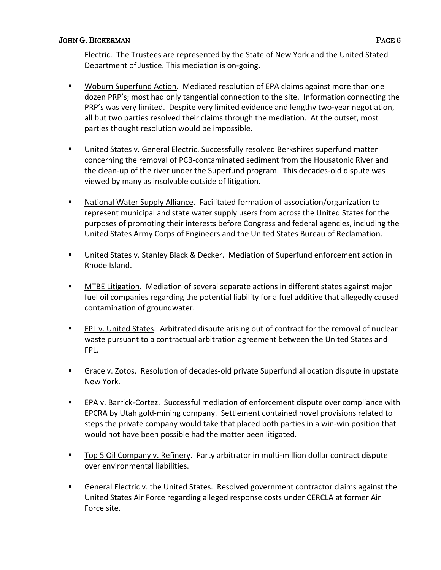- Woburn Superfund Action. Mediated resolution of EPA claims against more than one dozen PRP's; most had only tangential connection to the site. Information connecting the PRP's was very limited. Despite very limited evidence and lengthy two-year negotiation, all but two parties resolved their claims through the mediation. At the outset, most parties thought resolution would be impossible.
- United States v. General Electric. Successfully resolved Berkshires superfund matter concerning the removal of PCB-contaminated sediment from the Housatonic River and the clean-up of the river under the Superfund program. This decades-old dispute was viewed by many as insolvable outside of litigation.
- National Water Supply Alliance. Facilitated formation of association/organization to represent municipal and state water supply users from across the United States for the purposes of promoting their interests before Congress and federal agencies, including the United States Army Corps of Engineers and the United States Bureau of Reclamation.
- United States v. Stanley Black & Decker. Mediation of Superfund enforcement action in Rhode Island.
- MTBE Litigation. Mediation of several separate actions in different states against major fuel oil companies regarding the potential liability for a fuel additive that allegedly caused contamination of groundwater.
- FPL v. United States. Arbitrated dispute arising out of contract for the removal of nuclear waste pursuant to a contractual arbitration agreement between the United States and FPL.
- § Grace v. Zotos. Resolution of decades-old private Superfund allocation dispute in upstate New York.
- EPA v. Barrick-Cortez. Successful mediation of enforcement dispute over compliance with EPCRA by Utah gold-mining company. Settlement contained novel provisions related to steps the private company would take that placed both parties in a win-win position that would not have been possible had the matter been litigated.
- Top 5 Oil Company v. Refinery. Party arbitrator in multi-million dollar contract dispute over environmental liabilities.
- § General Electric v. the United States. Resolved government contractor claims against the United States Air Force regarding alleged response costs under CERCLA at former Air Force site.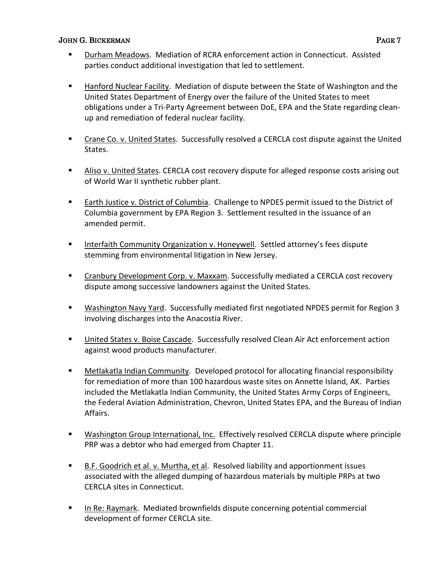- § Durham Meadows. Mediation of RCRA enforcement action in Connecticut. Assisted parties conduct additional investigation that led to settlement.
- § Hanford Nuclear Facility. Mediation of dispute between the State of Washington and the United States Department of Energy over the failure of the United States to meet obligations under a Tri-Party Agreement between DoE, EPA and the State regarding cleanup and remediation of federal nuclear facility.
- § Crane Co. v. United States. Successfully resolved a CERCLA cost dispute against the United States.
- § Aliso v. United States. CERCLA cost recovery dispute for alleged response costs arising out of World War II synthetic rubber plant.
- Earth Justice v. District of Columbia. Challenge to NPDES permit issued to the District of Columbia government by EPA Region 3. Settlement resulted in the issuance of an amended permit.
- Interfaith Community Organization v. Honeywell. Settled attorney's fees dispute stemming from environmental litigation in New Jersey.
- § Cranbury Development Corp. v. Maxxam. Successfully mediated a CERCLA cost recovery dispute among successive landowners against the United States.
- Washington Navy Yard. Successfully mediated first negotiated NPDES permit for Region 3 involving discharges into the Anacostia River.
- United States v. Boise Cascade. Successfully resolved Clean Air Act enforcement action against wood products manufacturer.
- Metlakatla Indian Community. Developed protocol for allocating financial responsibility for remediation of more than 100 hazardous waste sites on Annette Island, AK. Parties included the Metlakatla Indian Community, the United States Army Corps of Engineers, the Federal Aviation Administration, Chevron, United States EPA, and the Bureau of Indian Affairs.
- Washington Group International, Inc. Effectively resolved CERCLA dispute where principle PRP was a debtor who had emerged from Chapter 11.
- B.F. Goodrich et al. v. Murtha, et al. Resolved liability and apportionment issues associated with the alleged dumping of hazardous materials by multiple PRPs at two CERCLA sites in Connecticut.
- In Re: Raymark. Mediated brownfields dispute concerning potential commercial development of former CERCLA site.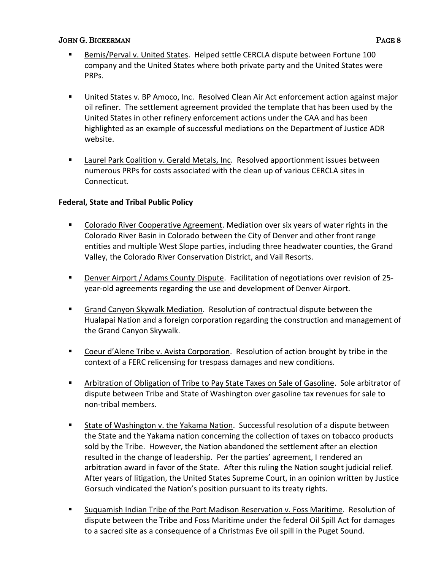- § Bemis/Perval v. United States. Helped settle CERCLA dispute between Fortune 100 company and the United States where both private party and the United States were PRPs.
- § United States v. BP Amoco, Inc. Resolved Clean Air Act enforcement action against major oil refiner. The settlement agreement provided the template that has been used by the United States in other refinery enforcement actions under the CAA and has been highlighted as an example of successful mediations on the Department of Justice ADR website.
- Laurel Park Coalition v. Gerald Metals, Inc. Resolved apportionment issues between numerous PRPs for costs associated with the clean up of various CERCLA sites in Connecticut.

# **Federal, State and Tribal Public Policy**

- Colorado River Cooperative Agreement. Mediation over six years of water rights in the Colorado River Basin in Colorado between the City of Denver and other front range entities and multiple West Slope parties, including three headwater counties, the Grand Valley, the Colorado River Conservation District, and Vail Resorts.
- § Denver Airport / Adams County Dispute. Facilitation of negotiations over revision of 25 year-old agreements regarding the use and development of Denver Airport.
- Grand Canyon Skywalk Mediation. Resolution of contractual dispute between the Hualapai Nation and a foreign corporation regarding the construction and management of the Grand Canyon Skywalk.
- Coeur d'Alene Tribe v. Avista Corporation. Resolution of action brought by tribe in the context of a FERC relicensing for trespass damages and new conditions.
- Arbitration of Obligation of Tribe to Pay State Taxes on Sale of Gasoline. Sole arbitrator of dispute between Tribe and State of Washington over gasoline tax revenues for sale to non-tribal members.
- State of Washington v. the Yakama Nation. Successful resolution of a dispute between the State and the Yakama nation concerning the collection of taxes on tobacco products sold by the Tribe. However, the Nation abandoned the settlement after an election resulted in the change of leadership. Per the parties' agreement, I rendered an arbitration award in favor of the State. After this ruling the Nation sought judicial relief. After years of litigation, the United States Supreme Court, in an opinion written by Justice Gorsuch vindicated the Nation's position pursuant to its treaty rights.
- § Suquamish Indian Tribe of the Port Madison Reservation v. Foss Maritime. Resolution of dispute between the Tribe and Foss Maritime under the federal Oil Spill Act for damages to a sacred site as a consequence of a Christmas Eve oil spill in the Puget Sound.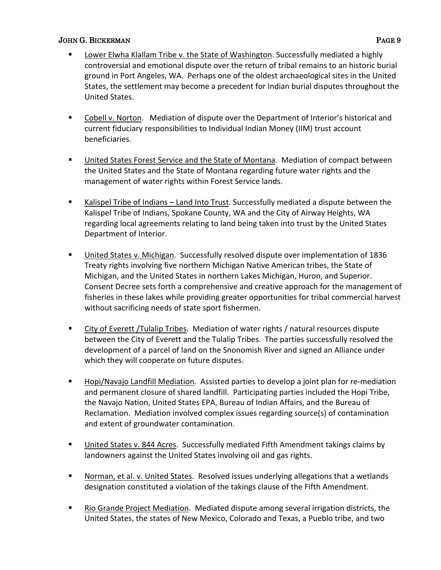- Lower Elwha Klallam Tribe v. the State of Washington. Successfully mediated a highly controversial and emotional dispute over the return of tribal remains to an historic burial ground in Port Angeles, WA. Perhaps one of the oldest archaeological sites in the United States, the settlement may become a precedent for Indian burial disputes throughout the United States.
- Cobell v. Norton. Mediation of dispute over the Department of Interior's historical and current fiduciary responsibilities to Individual Indian Money (IIM) trust account beneficiaries.
- United States Forest Service and the State of Montana. Mediation of compact between the United States and the State of Montana regarding future water rights and the management of water rights within Forest Service lands.
- Kalispel Tribe of Indians Land Into Trust. Successfully mediated a dispute between the Kalispel Tribe of Indians, Spokane County, WA and the City of Airway Heights, WA regarding local agreements relating to land being taken into trust by the United States Department of Interior.
- § United States v. Michigan. Successfully resolved dispute over implementation of 1836 Treaty rights involving five northern Michigan Native American tribes, the State of Michigan, and the United States in northern Lakes Michigan, Huron, and Superior. Consent Decree sets forth a comprehensive and creative approach for the management of fisheries in these lakes while providing greater opportunities for tribal commercial harvest without sacrificing needs of state sport fishermen.
- City of Everett /Tulalip Tribes. Mediation of water rights / natural resources dispute between the City of Everett and the Tulalip Tribes. The parties successfully resolved the development of a parcel of land on the Snonomish River and signed an Alliance under which they will cooperate on future disputes.
- Hopi/Navajo Landfill Mediation. Assisted parties to develop a joint plan for re-mediation and permanent closure of shared landfill. Participating parties included the Hopi Tribe, the Navajo Nation, United States EPA, Bureau of Indian Affairs, and the Bureau of Reclamation. Mediation involved complex issues regarding source(s) of contamination and extent of groundwater contamination.
- United States v. 844 Acres. Successfully mediated Fifth Amendment takings claims by landowners against the United States involving oil and gas rights.
- Norman, et al. v. United States. Resolved issues underlying allegations that a wetlands designation constituted a violation of the takings clause of the Fifth Amendment.
- Rio Grande Project Mediation. Mediated dispute among several irrigation districts, the United States, the states of New Mexico, Colorado and Texas, a Pueblo tribe, and two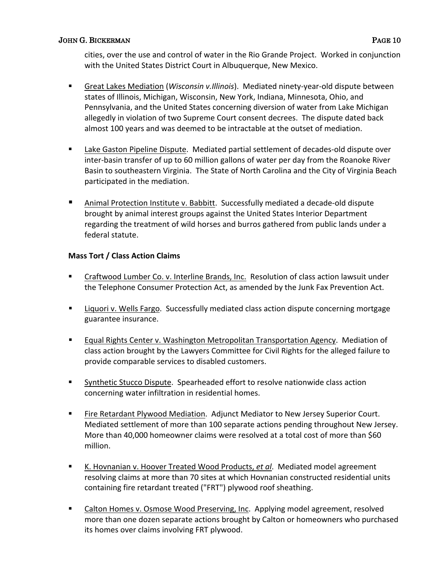cities, over the use and control of water in the Rio Grande Project. Worked in conjunction with the United States District Court in Albuquerque, New Mexico.

- Great Lakes Mediation (*Wisconsin v.Illinois*). Mediated ninety-year-old dispute between states of Illinois, Michigan, Wisconsin, New York, Indiana, Minnesota, Ohio, and Pennsylvania, and the United States concerning diversion of water from Lake Michigan allegedly in violation of two Supreme Court consent decrees. The dispute dated back almost 100 years and was deemed to be intractable at the outset of mediation.
- Lake Gaston Pipeline Dispute. Mediated partial settlement of decades-old dispute over inter-basin transfer of up to 60 million gallons of water per day from the Roanoke River Basin to southeastern Virginia. The State of North Carolina and the City of Virginia Beach participated in the mediation.
- § Animal Protection Institute v. Babbitt. Successfully mediated a decade-old dispute brought by animal interest groups against the United States Interior Department regarding the treatment of wild horses and burros gathered from public lands under a federal statute.

# **Mass Tort / Class Action Claims**

- § Craftwood Lumber Co. v. Interline Brands, Inc. Resolution of class action lawsuit under the Telephone Consumer Protection Act, as amended by the Junk Fax Prevention Act.
- **Example 1** Liquori v. Wells Fargo. Successfully mediated class action dispute concerning mortgage guarantee insurance.
- Equal Rights Center v. Washington Metropolitan Transportation Agency. Mediation of class action brought by the Lawyers Committee for Civil Rights for the alleged failure to provide comparable services to disabled customers.
- Synthetic Stucco Dispute. Spearheaded effort to resolve nationwide class action concerning water infiltration in residential homes.
- Fire Retardant Plywood Mediation. Adjunct Mediator to New Jersey Superior Court. Mediated settlement of more than 100 separate actions pending throughout New Jersey. More than 40,000 homeowner claims were resolved at a total cost of more than \$60 million.
- K. Hovnanian v. Hoover Treated Wood Products, et al. Mediated model agreement resolving claims at more than 70 sites at which Hovnanian constructed residential units containing fire retardant treated ("FRT") plywood roof sheathing.
- Calton Homes v. Osmose Wood Preserving, Inc. Applying model agreement, resolved more than one dozen separate actions brought by Calton or homeowners who purchased its homes over claims involving FRT plywood.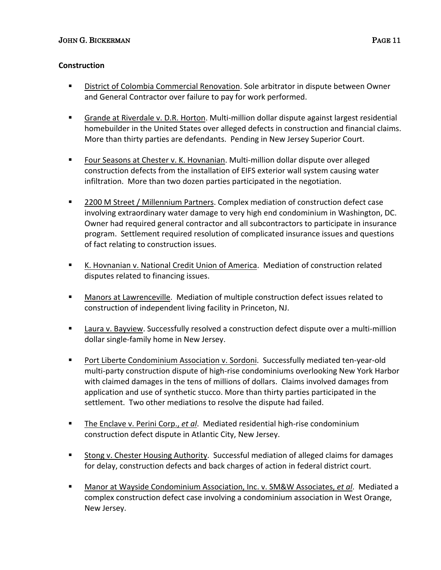# **Construction**

- § District of Colombia Commercial Renovation. Sole arbitrator in dispute between Owner and General Contractor over failure to pay for work performed.
- § Grande at Riverdale v. D.R. Horton. Multi-million dollar dispute against largest residential homebuilder in the United States over alleged defects in construction and financial claims. More than thirty parties are defendants. Pending in New Jersey Superior Court.
- Four Seasons at Chester v. K. Hovnanian. Multi-million dollar dispute over alleged construction defects from the installation of EIFS exterior wall system causing water infiltration. More than two dozen parties participated in the negotiation.
- 2200 M Street / Millennium Partners. Complex mediation of construction defect case involving extraordinary water damage to very high end condominium in Washington, DC. Owner had required general contractor and all subcontractors to participate in insurance program. Settlement required resolution of complicated insurance issues and questions of fact relating to construction issues.
- K. Hovnanian v. National Credit Union of America. Mediation of construction related disputes related to financing issues.
- Manors at Lawrenceville. Mediation of multiple construction defect issues related to construction of independent living facility in Princeton, NJ.
- Laura v. Bayview. Successfully resolved a construction defect dispute over a multi-million dollar single-family home in New Jersey.
- Port Liberte Condominium Association v. Sordoni. Successfully mediated ten-year-old multi-party construction dispute of high-rise condominiums overlooking New York Harbor with claimed damages in the tens of millions of dollars. Claims involved damages from application and use of synthetic stucco. More than thirty parties participated in the settlement. Two other mediations to resolve the dispute had failed.
- The Enclave v. Perini Corp., *et al*. Mediated residential high-rise condominium construction defect dispute in Atlantic City, New Jersey.
- Stong v. Chester Housing Authority. Successful mediation of alleged claims for damages for delay, construction defects and back charges of action in federal district court.
- § Manor at Wayside Condominium Association, Inc. v. SM&W Associates, *et al*. Mediated a complex construction defect case involving a condominium association in West Orange, New Jersey.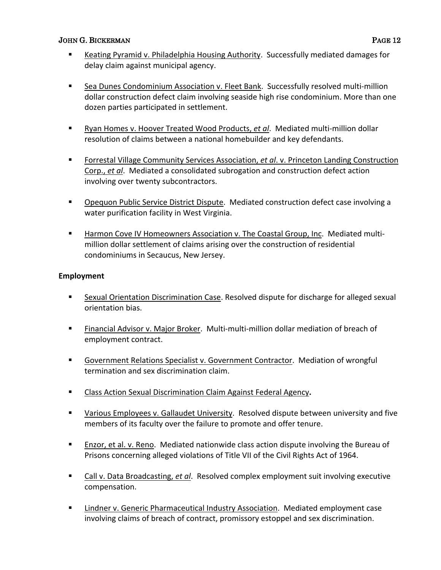- Keating Pyramid v. Philadelphia Housing Authority. Successfully mediated damages for delay claim against municipal agency.
- Sea Dunes Condominium Association v. Fleet Bank. Successfully resolved multi-million dollar construction defect claim involving seaside high rise condominium. More than one dozen parties participated in settlement.
- Ryan Homes v. Hoover Treated Wood Products, et al. Mediated multi-million dollar resolution of claims between a national homebuilder and key defendants.
- Forrestal Village Community Services Association, *et al.* v. Princeton Landing Construction Corp., *et al*. Mediated a consolidated subrogation and construction defect action involving over twenty subcontractors.
- § Opequon Public Service District Dispute. Mediated construction defect case involving a water purification facility in West Virginia.
- Harmon Cove IV Homeowners Association v. The Coastal Group, Inc. Mediated multimillion dollar settlement of claims arising over the construction of residential condominiums in Secaucus, New Jersey.

# **Employment**

- Sexual Orientation Discrimination Case. Resolved dispute for discharge for alleged sexual orientation bias.
- Financial Advisor v. Major Broker. Multi-multi-million dollar mediation of breach of employment contract.
- § Government Relations Specialist v. Government Contractor. Mediation of wrongful termination and sex discrimination claim.
- Class Action Sexual Discrimination Claim Against Federal Agency.
- Various Employees v. Gallaudet University. Resolved dispute between university and five members of its faculty over the failure to promote and offer tenure.
- Enzor, et al. v. Reno. Mediated nationwide class action dispute involving the Bureau of Prisons concerning alleged violations of Title VII of the Civil Rights Act of 1964.
- Call v. Data Broadcasting, et al. Resolved complex employment suit involving executive compensation.
- Lindner v. Generic Pharmaceutical Industry Association. Mediated employment case involving claims of breach of contract, promissory estoppel and sex discrimination.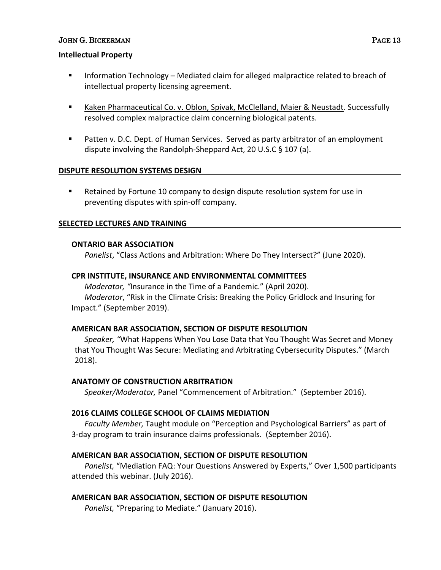#### **Intellectual Property**

- Information Technology Mediated claim for alleged malpractice related to breach of intellectual property licensing agreement.
- § Kaken Pharmaceutical Co. v. Oblon, Spivak, McClelland, Maier & Neustadt. Successfully resolved complex malpractice claim concerning biological patents.
- Patten v. D.C. Dept. of Human Services. Served as party arbitrator of an employment dispute involving the Randolph-Sheppard Act, 20 U.S.C § 107 (a).

# **DISPUTE RESOLUTION SYSTEMS DESIGN**

■ Retained by Fortune 10 company to design dispute resolution system for use in preventing disputes with spin-off company.

#### **SELECTED LECTURES AND TRAINING**

#### **ONTARIO BAR ASSOCIATION**

*Panelist*, "Class Actions and Arbitration: Where Do They Intersect?" (June 2020).

#### **CPR INSTITUTE, INSURANCE AND ENVIRONMENTAL COMMITTEES**

*Moderator, "*Insurance in the Time of a Pandemic." (April 2020). *Moderator*, "Risk in the Climate Crisis: Breaking the Policy Gridlock and Insuring for Impact." (September 2019).

# **AMERICAN BAR ASSOCIATION, SECTION OF DISPUTE RESOLUTION**

*Speaker, "*What Happens When You Lose Data that You Thought Was Secret and Money that You Thought Was Secure: Mediating and Arbitrating Cybersecurity Disputes." (March 2018).

#### **ANATOMY OF CONSTRUCTION ARBITRATION**

*Speaker/Moderator,* Panel "Commencement of Arbitration." (September 2016).

# **2016 CLAIMS COLLEGE SCHOOL OF CLAIMS MEDIATION**

*Faculty Member,* Taught module on "Perception and Psychological Barriers" as part of 3-day program to train insurance claims professionals. (September 2016).

# **AMERICAN BAR ASSOCIATION, SECTION OF DISPUTE RESOLUTION**

*Panelist,* "Mediation FAQ: Your Questions Answered by Experts," Over 1,500 participants attended this webinar. (July 2016).

# **AMERICAN BAR ASSOCIATION, SECTION OF DISPUTE RESOLUTION**

*Panelist,* "Preparing to Mediate." (January 2016).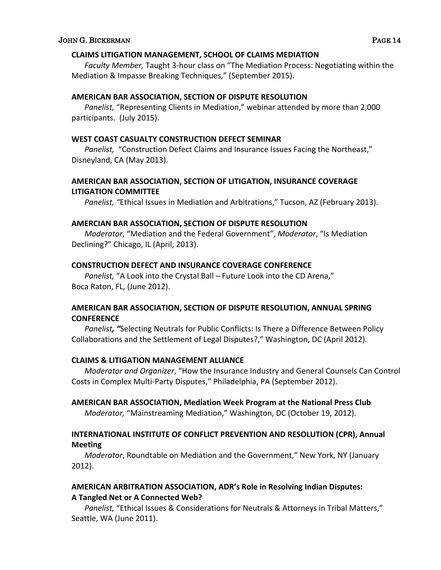#### **CLAIMS LITIGATION MANAGEMENT, SCHOOL OF CLAIMS MEDIATION**

*Faculty Member,* Taught 3-hour class on "The Mediation Process: Negotiating within the Mediation & Impasse Breaking Techniques," (September 2015).

# **AMERICAN BAR ASSOCIATION, SECTION OF DISPUTE RESOLUTION**

*Panelist,* "Representing Clients in Mediation," webinar attended by more than 2,000 participants. (July 2015).

#### **WEST COAST CASUALTY CONSTRUCTION DEFECT SEMINAR**

*Panelist,* "Construction Defect Claims and Insurance Issues Facing the Northeast," Disneyland, CA (May 2013).

# **AMERICAN BAR ASSOCIATION, SECTION OF LITIGATION, INSURANCE COVERAGE LITIGATION COMMITTEE**

*Panelist, "*Ethical Issues in Mediation and Arbitrations," Tucson, AZ (February 2013).

#### **AMERCIAN BAR ASSOCIATION, SECTION OF DISPUTE RESOLUTION**

*Moderator*, "Mediation and the Federal Government", *Moderator*, "Is Mediation Declining?" Chicago, IL (April, 2013).

## **CONSTRUCTION DEFECT AND INSURANCE COVERAGE CONFERENCE**

*Panelist,* "A Look into the Crystal Ball – Future Look into the CD Arena," Boca Raton, FL, (June 2012).

# **AMERICAN BAR ASSOCIATION, SECTION OF DISPUTE RESOLUTION, ANNUAL SPRING CONFERENCE**

*Panelist, "*Selecting Neutrals for Public Conflicts: Is There a Difference Between Policy Collaborations and the Settlement of Legal Disputes?," Washington, DC (April 2012).

# **CLAIMS & LITIGATION MANAGEMENT ALLIANCE**

*Moderator and Organizer*, "How the Insurance Industry and General Counsels Can Control Costs in Complex Multi-Party Disputes," Philadelphia, PA (September 2012).

# **AMERICAN BAR ASSOCIATION, Mediation Week Program at the National Press Club**

*Moderator,* "Mainstreaming Mediation," Washington, DC (October 19, 2012).

# **INTERNATIONAL INSTITUTE OF CONFLICT PREVENTION AND RESOLUTION (CPR), Annual Meeting**

*Moderator*, Roundtable on Mediation and the Government," New York, NY (January 2012).

# **AMERICAN ARBITRATION ASSOCIATION, ADR's Role in Resolving Indian Disputes: A Tangled Net or A Connected Web?**

*Panelist,* "Ethical Issues & Considerations for Neutrals & Attorneys in Tribal Matters," Seattle, WA (June 2011).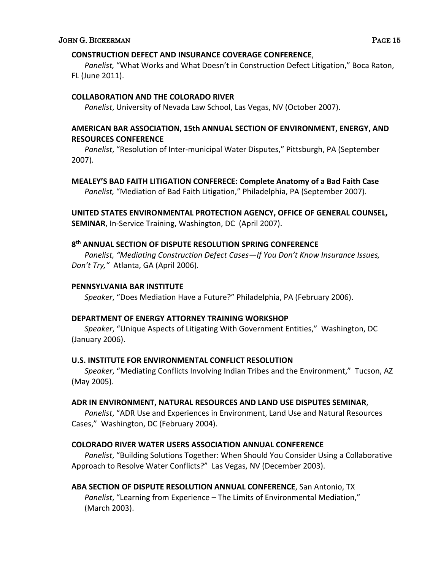## **CONSTRUCTION DEFECT AND INSURANCE COVERAGE CONFERENCE**,

*Panelist,* "What Works and What Doesn't in Construction Defect Litigation," Boca Raton, FL (June 2011).

# **COLLABORATION AND THE COLORADO RIVER**

*Panelist*, University of Nevada Law School, Las Vegas, NV (October 2007).

# **AMERICAN BAR ASSOCIATION, 15th ANNUAL SECTION OF ENVIRONMENT, ENERGY, AND RESOURCES CONFERENCE**

*Panelist*, "Resolution of Inter-municipal Water Disputes," Pittsburgh, PA (September 2007).

# **MEALEY'S BAD FAITH LITIGATION CONFERECE: Complete Anatomy of a Bad Faith Case**

*Panelist,* "Mediation of Bad Faith Litigation," Philadelphia, PA (September 2007).

# **UNITED STATES ENVIRONMENTAL PROTECTION AGENCY, OFFICE OF GENERAL COUNSEL,**

**SEMINAR**, In-Service Training, Washington, DC (April 2007).

# **8th ANNUAL SECTION OF DISPUTE RESOLUTION SPRING CONFERENCE**

*Panelist, "Mediating Construction Defect Cases—If You Don't Know Insurance Issues, Don't Try,"* Atlanta, GA (April 2006)*.*

## **PENNSYLVANIA BAR INSTITUTE**

*Speaker*, "Does Mediation Have a Future?" Philadelphia, PA (February 2006).

# **DEPARTMENT OF ENERGY ATTORNEY TRAINING WORKSHOP**

*Speaker*, "Unique Aspects of Litigating With Government Entities," Washington, DC (January 2006).

# **U.S. INSTITUTE FOR ENVIRONMENTAL CONFLICT RESOLUTION**

*Speaker*, "Mediating Conflicts Involving Indian Tribes and the Environment," Tucson, AZ (May 2005).

# **ADR IN ENVIRONMENT, NATURAL RESOURCES AND LAND USE DISPUTES SEMINAR**,

*Panelist*, "ADR Use and Experiences in Environment, Land Use and Natural Resources Cases," Washington, DC (February 2004).

# **COLORADO RIVER WATER USERS ASSOCIATION ANNUAL CONFERENCE**

*Panelist*, "Building Solutions Together: When Should You Consider Using a Collaborative Approach to Resolve Water Conflicts?" Las Vegas, NV (December 2003).

# **ABA SECTION OF DISPUTE RESOLUTION ANNUAL CONFERENCE**, San Antonio, TX *Panelist*, "Learning from Experience – The Limits of Environmental Mediation," (March 2003).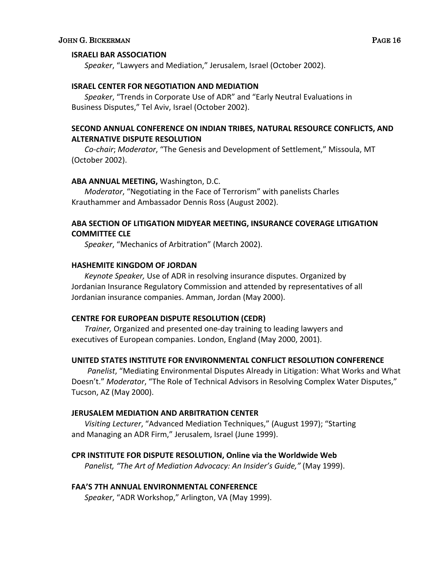#### **ISRAELI BAR ASSOCIATION**

*Speaker*, "Lawyers and Mediation," Jerusalem, Israel (October 2002).

#### **ISRAEL CENTER FOR NEGOTIATION AND MEDIATION**

*Speaker*, "Trends in Corporate Use of ADR" and "Early Neutral Evaluations in Business Disputes," Tel Aviv, Israel (October 2002).

# **SECOND ANNUAL CONFERENCE ON INDIAN TRIBES, NATURAL RESOURCE CONFLICTS, AND ALTERNATIVE DISPUTE RESOLUTION**

*Co-chair*; *Moderator*, "The Genesis and Development of Settlement," Missoula, MT (October 2002).

#### **ABA ANNUAL MEETING,** Washington, D.C.

*Moderator*, "Negotiating in the Face of Terrorism" with panelists Charles Krauthammer and Ambassador Dennis Ross (August 2002).

# **ABA SECTION OF LITIGATION MIDYEAR MEETING, INSURANCE COVERAGE LITIGATION COMMITTEE CLE**

*Speaker*, "Mechanics of Arbitration" (March 2002).

# **HASHEMITE KINGDOM OF JORDAN**

*Keynote Speaker,* Use of ADR in resolving insurance disputes. Organized by Jordanian Insurance Regulatory Commission and attended by representatives of all Jordanian insurance companies. Amman, Jordan (May 2000).

# **CENTRE FOR EUROPEAN DISPUTE RESOLUTION (CEDR)**

*Trainer,* Organized and presented one-day training to leading lawyers and executives of European companies. London, England (May 2000, 2001).

# **UNITED STATES INSTITUTE FOR ENVIRONMENTAL CONFLICT RESOLUTION CONFERENCE**

*Panelist*, "Mediating Environmental Disputes Already in Litigation: What Works and What Doesn't." *Moderator*, "The Role of Technical Advisors in Resolving Complex Water Disputes," Tucson, AZ (May 2000).

#### **JERUSALEM MEDIATION AND ARBITRATION CENTER**

*Visiting Lecturer*, "Advanced Mediation Techniques," (August 1997); "Starting and Managing an ADR Firm," Jerusalem, Israel (June 1999).

# **CPR INSTITUTE FOR DISPUTE RESOLUTION, Online via the Worldwide Web**

*Panelist, "The Art of Mediation Advocacy: An Insider's Guide,"* (May 1999).

#### **FAA'S 7TH ANNUAL ENVIRONMENTAL CONFERENCE**

*Speaker*, "ADR Workshop," Arlington, VA (May 1999).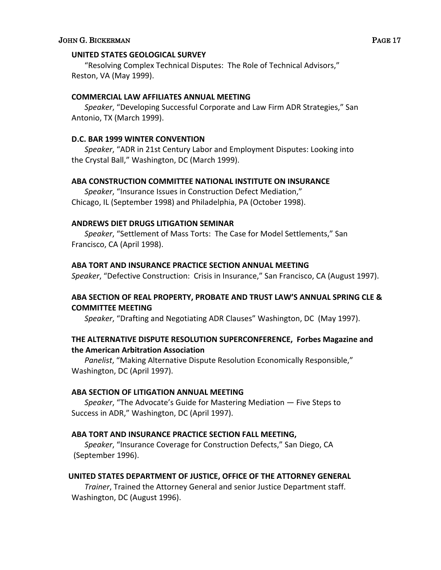## **UNITED STATES GEOLOGICAL SURVEY**

"Resolving Complex Technical Disputes: The Role of Technical Advisors," Reston, VA (May 1999).

## **COMMERCIAL LAW AFFILIATES ANNUAL MEETING**

*Speaker*, "Developing Successful Corporate and Law Firm ADR Strategies," San Antonio, TX (March 1999).

## **D.C. BAR 1999 WINTER CONVENTION**

*Speaker*, "ADR in 21st Century Labor and Employment Disputes: Looking into the Crystal Ball," Washington, DC (March 1999).

#### **ABA CONSTRUCTION COMMITTEE NATIONAL INSTITUTE ON INSURANCE**

*Speaker*, "Insurance Issues in Construction Defect Mediation," Chicago, IL (September 1998) and Philadelphia, PA (October 1998).

#### **ANDREWS DIET DRUGS LITIGATION SEMINAR**

*Speaker*, "Settlement of Mass Torts: The Case for Model Settlements," San Francisco, CA (April 1998).

## **ABA TORT AND INSURANCE PRACTICE SECTION ANNUAL MEETING**

*Speaker*, "Defective Construction: Crisis in Insurance," San Francisco, CA (August 1997).

# **ABA SECTION OF REAL PROPERTY, PROBATE AND TRUST LAW'S ANNUAL SPRING CLE & COMMITTEE MEETING**

*Speaker*, "Drafting and Negotiating ADR Clauses" Washington, DC (May 1997).

# **THE ALTERNATIVE DISPUTE RESOLUTION SUPERCONFERENCE, Forbes Magazine and the American Arbitration Association**

*Panelist*, "Making Alternative Dispute Resolution Economically Responsible," Washington, DC (April 1997).

# **ABA SECTION OF LITIGATION ANNUAL MEETING**

*Speaker*, "The Advocate's Guide for Mastering Mediation — Five Steps to Success in ADR," Washington, DC (April 1997).

# **ABA TORT AND INSURANCE PRACTICE SECTION FALL MEETING,**

*Speaker*, "Insurance Coverage for Construction Defects," San Diego, CA (September 1996).

# **UNITED STATES DEPARTMENT OF JUSTICE, OFFICE OF THE ATTORNEY GENERAL**

*Trainer*, Trained the Attorney General and senior Justice Department staff. Washington, DC (August 1996).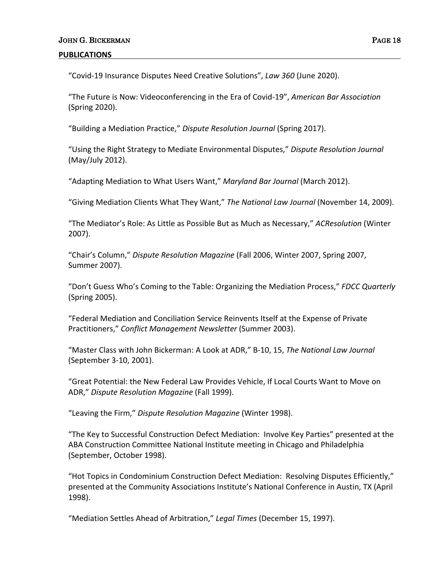"Covid-19 Insurance Disputes Need Creative Solutions", *Law 360* (June 2020).

"The Future is Now: Videoconferencing in the Era of Covid-19", *American Bar Association* (Spring 2020).

"Building a Mediation Practice," *Dispute Resolution Journal* (Spring 2017).

"Using the Right Strategy to Mediate Environmental Disputes," *Dispute Resolution Journal*  (May/July 2012).

"Adapting Mediation to What Users Want," *Maryland Bar Journal* (March 2012).

"Giving Mediation Clients What They Want," *The National Law Journal* (November 14, 2009).

"The Mediator's Role: As Little as Possible But as Much as Necessary," *ACResolution* (Winter 2007).

"Chair's Column," *Dispute Resolution Magazine* (Fall 2006, Winter 2007, Spring 2007, Summer 2007).

"Don't Guess Who's Coming to the Table: Organizing the Mediation Process," *FDCC Quarterly* (Spring 2005).

"Federal Mediation and Conciliation Service Reinvents Itself at the Expense of Private Practitioners," *Conflict Management Newsletter* (Summer 2003).

"Master Class with John Bickerman: A Look at ADR," B-10, 15, *The National Law Journal* (September 3-10, 2001).

"Great Potential: the New Federal Law Provides Vehicle, If Local Courts Want to Move on ADR," *Dispute Resolution Magazine* (Fall 1999).

"Leaving the Firm," *Dispute Resolution Magazine* (Winter 1998).

"The Key to Successful Construction Defect Mediation: Involve Key Parties" presented at the ABA Construction Committee National Institute meeting in Chicago and Philadelphia (September, October 1998).

"Hot Topics in Condominium Construction Defect Mediation: Resolving Disputes Efficiently," presented at the Community Associations Institute's National Conference in Austin, TX (April 1998).

"Mediation Settles Ahead of Arbitration," *Legal Times* (December 15, 1997).